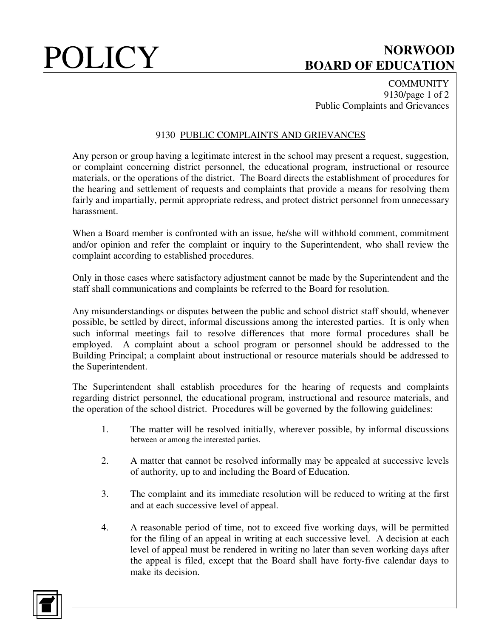# POLICY BOARD OF EDUCATION **BOARD OF EDUCATION**

**COMMUNITY** 9130/page 1 of 2 Public Complaints and Grievances

### 9130 PUBLIC COMPLAINTS AND GRIEVANCES

Any person or group having a legitimate interest in the school may present a request, suggestion, or complaint concerning district personnel, the educational program, instructional or resource materials, or the operations of the district. The Board directs the establishment of procedures for the hearing and settlement of requests and complaints that provide a means for resolving them fairly and impartially, permit appropriate redress, and protect district personnel from unnecessary harassment.

When a Board member is confronted with an issue, he/she will withhold comment, commitment and/or opinion and refer the complaint or inquiry to the Superintendent, who shall review the complaint according to established procedures.

Only in those cases where satisfactory adjustment cannot be made by the Superintendent and the staff shall communications and complaints be referred to the Board for resolution.

Any misunderstandings or disputes between the public and school district staff should, whenever possible, be settled by direct, informal discussions among the interested parties. It is only when such informal meetings fail to resolve differences that more formal procedures shall be employed. A complaint about a school program or personnel should be addressed to the Building Principal; a complaint about instructional or resource materials should be addressed to the Superintendent.

The Superintendent shall establish procedures for the hearing of requests and complaints regarding district personnel, the educational program, instructional and resource materials, and the operation of the school district. Procedures will be governed by the following guidelines:

- 1. The matter will be resolved initially, wherever possible, by informal discussions between or among the interested parties.
- 2. A matter that cannot be resolved informally may be appealed at successive levels of authority, up to and including the Board of Education.
- 3. The complaint and its immediate resolution will be reduced to writing at the first and at each successive level of appeal.
- 4. A reasonable period of time, not to exceed five working days, will be permitted for the filing of an appeal in writing at each successive level. A decision at each level of appeal must be rendered in writing no later than seven working days after the appeal is filed, except that the Board shall have forty-five calendar days to make its decision.